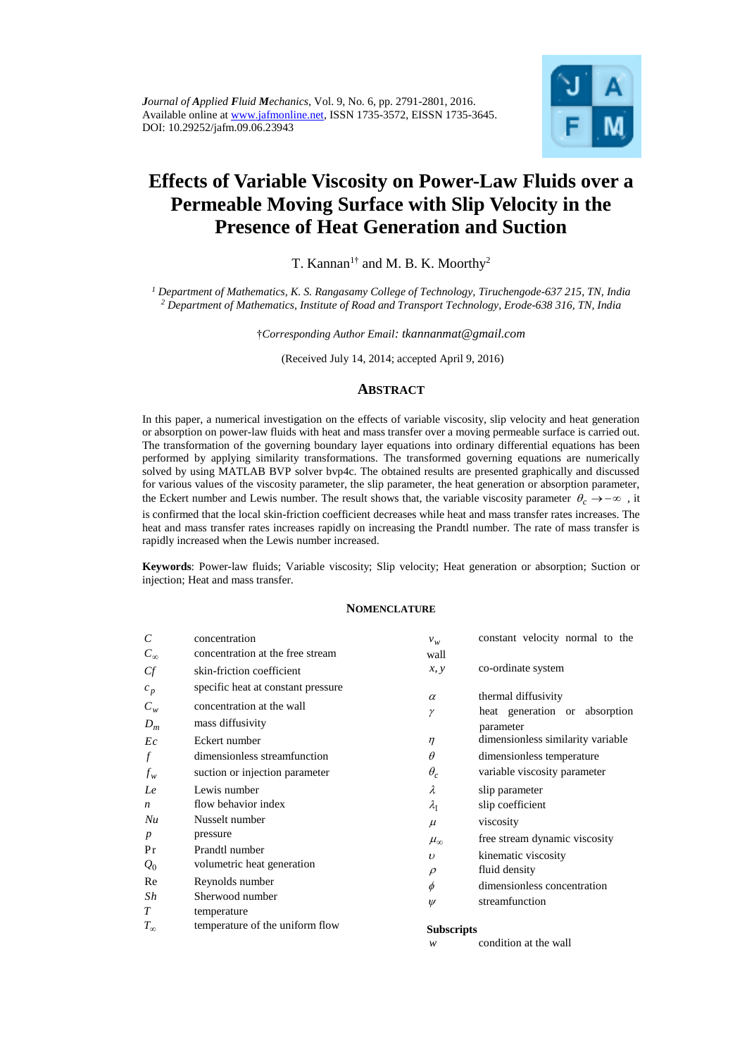

# **Effects of Variable Viscosity on Power-Law Fluids over a Permeable Moving Surface with Slip Velocity in the Presence of Heat Generation and Suction**

T. Kannan<sup>1†</sup> and M. B. K. Moorthy<sup>2</sup>

*<sup>1</sup> Department of Mathematics, K. S. Rangasamy College of Technology, Tiruchengode-637 215, TN, India <sup>2</sup> Department of Mathematics, Institute of Road and Transport Technology, Erode-638 316, TN, India*

†*Corresponding Author Email: tkannanmat@gmail.com* 

(Received July 14, 2014; accepted April 9, 2016)

## **ABSTRACT**

In this paper, a numerical investigation on the effects of variable viscosity, slip velocity and heat generation or absorption on power-law fluids with heat and mass transfer over a moving permeable surface is carried out. The transformation of the governing boundary layer equations into ordinary differential equations has been performed by applying similarity transformations. The transformed governing equations are numerically solved by using MATLAB BVP solver bvp4c. The obtained results are presented graphically and discussed for various values of the viscosity parameter, the slip parameter, the heat generation or absorption parameter, the Eckert number and Lewis number. The result shows that, the variable viscosity parameter  $\theta_c \to -\infty$ , it is confirmed that the local skin-friction coefficient decreases while heat and mass transfer rates increases. The

heat and mass transfer rates increases rapidly on increasing the Prandtl number. The rate of mass transfer is rapidly increased when the Lewis number increased.

**Keywords**: Power-law fluids; Variable viscosity; Slip velocity; Heat generation or absorption; Suction or injection; Heat and mass transfer.

#### **NOMENCLATURE**

| $\mathcal{C}_{0}^{0}$              | concentration                                                                                                                        | $v_w$                               | constant velocity normal to the                                                                                                     |
|------------------------------------|--------------------------------------------------------------------------------------------------------------------------------------|-------------------------------------|-------------------------------------------------------------------------------------------------------------------------------------|
| $C_{\infty}$                       | concentration at the free stream                                                                                                     | wall                                |                                                                                                                                     |
| Cf                                 | skin-friction coefficient                                                                                                            | x, y                                | co-ordinate system                                                                                                                  |
| $c_p$<br>$C_w$<br>$D_m$<br>Ec<br>f | specific heat at constant pressure<br>concentration at the wall<br>mass diffusivity<br>Eckert number<br>dimensionless streamfunction | $\alpha$<br>γ<br>$\eta$<br>$\theta$ | thermal diffusivity<br>heat generation or absorption<br>parameter<br>dimensionless similarity variable<br>dimensionless temperature |
| $f_w$                              | suction or injection parameter                                                                                                       | $\theta_c$                          | variable viscosity parameter                                                                                                        |
| Le                                 | Lewis number                                                                                                                         | λ                                   | slip parameter                                                                                                                      |
| $\boldsymbol{n}$                   | flow behavior index                                                                                                                  | $\lambda_1$                         | slip coefficient                                                                                                                    |
| Nu                                 | Nusselt number                                                                                                                       | $\mu$                               | viscosity                                                                                                                           |
| $\boldsymbol{p}$                   | pressure                                                                                                                             | $\mu_{\infty}$                      | free stream dynamic viscosity                                                                                                       |
| Pr                                 | Prandtl number                                                                                                                       | $\boldsymbol{\nu}$                  | kinematic viscosity                                                                                                                 |
| $Q_0$                              | volumetric heat generation                                                                                                           |                                     | fluid density                                                                                                                       |
| Re                                 | Reynolds number                                                                                                                      | $\rho$<br>$\phi$                    | dimensionless concentration                                                                                                         |
| Sh                                 | Sherwood number                                                                                                                      | $\psi$                              | streamfunction                                                                                                                      |
| T                                  | temperature                                                                                                                          |                                     |                                                                                                                                     |
| $T_{\infty}$                       | temperature of the uniform flow                                                                                                      | <b>Subscripts</b>                   |                                                                                                                                     |

*w*

condition at the wall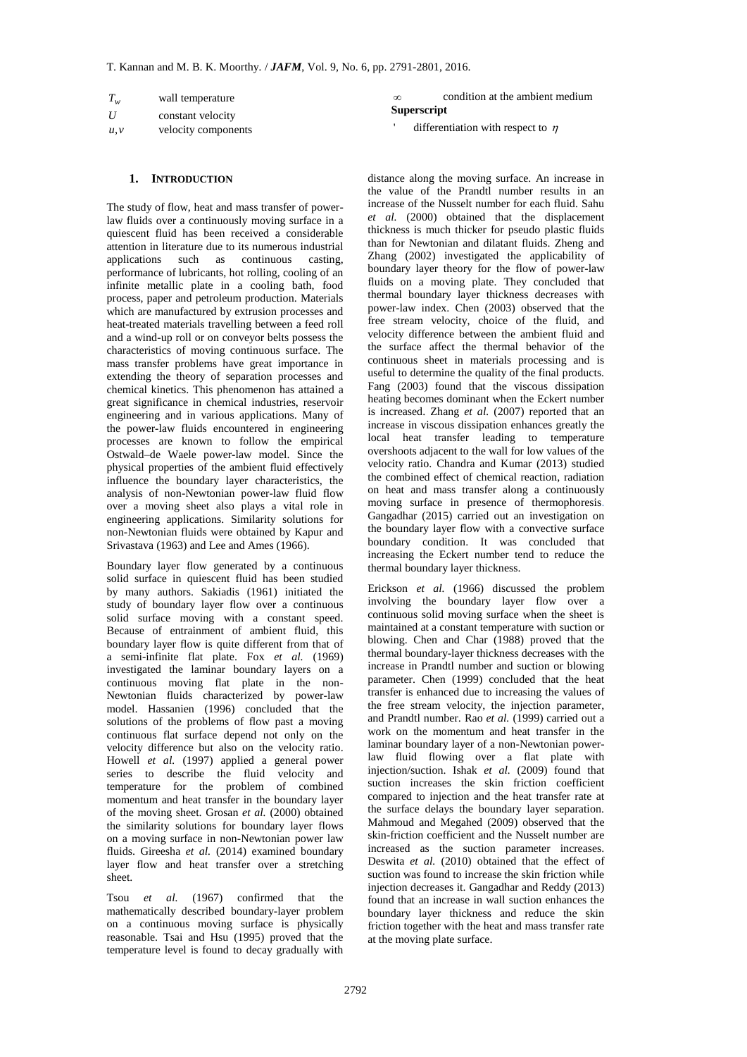| $T_{w}$          | wall temperature    |  |  |
|------------------|---------------------|--|--|
| $\boldsymbol{U}$ | constant velocity   |  |  |
| u, v             | velocity components |  |  |

#### **1. INTRODUCTION**

*T<sub>u</sub>* vall emperature constant model in the model of the model of the maty the model of the maty constant velocity constant we be the same of power-<br>the U constant velocity components are due to the model of the same of The study of flow, heat and mass transfer of powerlaw fluids over a continuously moving surface in a quiescent fluid has been received a considerable attention in literature due to its numerous industrial applications such as continuous casting, performance of lubricants, hot rolling, cooling of an infinite metallic plate in a cooling bath, food process, paper and petroleum production. Materials which are manufactured by extrusion processes and heat-treated materials travelling between a feed roll and a wind-up roll or on conveyor belts possess the characteristics of moving continuous surface. The mass transfer problems have great importance in extending the theory of separation processes and chemical kinetics. This phenomenon has attained a great significance in chemical industries, reservoir engineering and in various applications. Many of the power-law fluids encountered in engineering processes are known to follow the empirical Ostwald–de Waele power-law model. Since the physical properties of the ambient fluid effectively influence the boundary layer characteristics, the analysis of non-Newtonian power-law fluid flow over a moving sheet also plays a vital role in engineering applications. Similarity solutions for non-Newtonian fluids were obtained by Kapur and Srivastava (1963) and Lee and Ames (1966).

Boundary layer flow generated by a continuous solid surface in quiescent fluid has been studied by many authors. Sakiadis (1961) initiated the study of boundary layer flow over a continuous solid surface moving with a constant speed. Because of entrainment of ambient fluid, this boundary layer flow is quite different from that of a semi-infinite flat plate. Fox *et al.* (1969) investigated the laminar boundary layers on a continuous moving flat plate in the non-Newtonian fluids characterized by power-law model. Hassanien (1996) concluded that the solutions of the problems of flow past a moving continuous flat surface depend not only on the velocity difference but also on the velocity ratio. Howell *et al.* (1997) applied a general power series to describe the fluid velocity and temperature for the problem of combined momentum and heat transfer in the boundary layer of the moving sheet. Grosan *et al.* (2000) obtained the similarity solutions for boundary layer flows on a moving surface in non-Newtonian power law fluids. Gireesha *et al.* (2014) examined boundary layer flow and heat transfer over a stretching sheet.

Tsou *et al.* (1967) confirmed that the mathematically described boundary-layer problem on a continuous moving surface is physically reasonable. Tsai and Hsu (1995) proved that the temperature level is found to decay gradually with

 $\infty$ condition at the ambient medium **Superscript**

'differentiation with respect to  $\eta$ 

distance along the moving surface. An increase in the value of the Prandtl number results in an increase of the Nusselt number for each fluid. Sahu *et al.* (2000) obtained that the displacement thickness is much thicker for pseudo plastic fluids than for Newtonian and dilatant fluids. Zheng and Zhang (2002) investigated the applicability of boundary layer theory for the flow of power-law fluids on a moving plate. They concluded that thermal boundary layer thickness decreases with power-law index. Chen (2003) observed that the free stream velocity, choice of the fluid, and velocity difference between the ambient fluid and the surface affect the thermal behavior of the continuous sheet in materials processing and is useful to determine the quality of the final products. Fang (2003) found that the viscous dissipation heating becomes dominant when the Eckert number is increased. Zhang *et al.* (2007) reported that an increase in viscous dissipation enhances greatly the local heat transfer leading to temperature overshoots adjacent to the wall for low values of the velocity ratio. Chandra and Kumar (2013) studied the combined effect of chemical reaction, radiation on heat and mass transfer along a continuously moving surface in presence of thermophoresis. Gangadhar (2015) carried out an investigation on the boundary layer flow with a convective surface boundary condition. It was concluded that increasing the Eckert number tend to reduce the thermal boundary layer thickness.

Erickson *et al.* (1966) discussed the problem involving the boundary layer flow over a continuous solid moving surface when the sheet is maintained at a constant temperature with suction or blowing. Chen and Char (1988) proved that the thermal boundary-layer thickness decreases with the increase in Prandtl number and suction or blowing parameter. Chen (1999) concluded that the heat transfer is enhanced due to increasing the values of the free stream velocity, the injection parameter, and Prandtl number. Rao *et al.* (1999) carried out a work on the momentum and heat transfer in the laminar boundary layer of a non-Newtonian powerlaw fluid flowing over a flat plate with injection/suction. Ishak *et al.* (2009) found that suction increases the skin friction coefficient compared to injection and the heat transfer rate at the surface delays the boundary layer separation. Mahmoud and Megahed (2009) observed that the skin-friction coefficient and the Nusselt number are increased as the suction parameter increases. Deswita *et al.* (2010) obtained that the effect of suction was found to increase the skin friction while injection decreases it. Gangadhar and Reddy (2013) found that an increase in wall suction enhances the boundary layer thickness and reduce the skin friction together with the heat and mass transfer rate at the moving plate surface.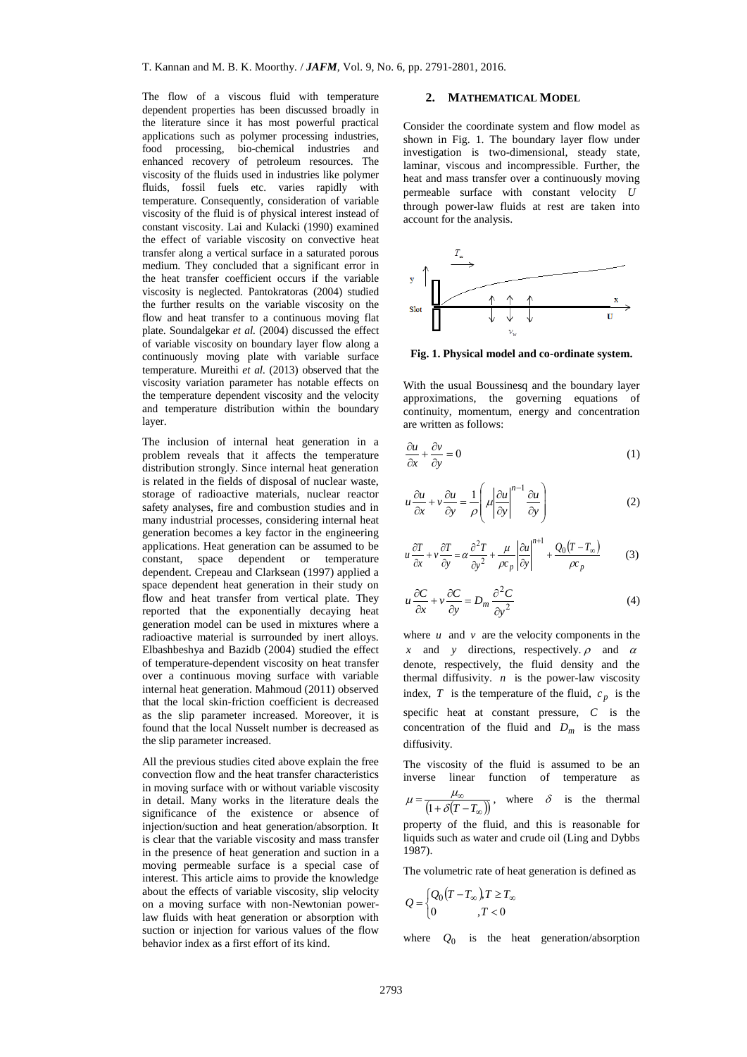The flow of a viscous fluid with temperature dependent properties has been discussed broadly in the literature since it has most powerful practical applications such as polymer processing industries, food processing, bio-chemical industries and enhanced recovery of petroleum resources. The viscosity of the fluids used in industries like polymer fluids, fossil fuels etc. varies rapidly with temperature. Consequently, consideration of variable viscosity of the fluid is of physical interest instead of constant viscosity. Lai and Kulacki (1990) examined the effect of variable viscosity on convective heat transfer along a vertical surface in a saturated porous medium. They concluded that a significant error in the heat transfer coefficient occurs if the variable viscosity is neglected. Pantokratoras (2004) studied the further results on the variable viscosity on the flow and heat transfer to a continuous moving flat plate. Soundalgekar *et al.* (2004) discussed the effect of variable viscosity on boundary layer flow along a continuously moving plate with variable surface temperature. Mureithi *et al.* (2013) observed that the viscosity variation parameter has notable effects on the temperature dependent viscosity and the velocity and temperature distribution within the boundary layer.

The inclusion of internal heat generation in a problem reveals that it affects the temperature distribution strongly. Since internal heat generation is related in the fields of disposal of nuclear waste, storage of radioactive materials, nuclear reactor safety analyses, fire and combustion studies and in many industrial processes, considering internal heat generation becomes a key factor in the engineering applications. Heat generation can be assumed to be constant, space dependent or temperature dependent. Crepeau and Clarksean (1997) applied a space dependent heat generation in their study on flow and heat transfer from vertical plate. They reported that the exponentially decaying heat generation model can be used in mixtures where a radioactive material is surrounded by inert alloys. Elbashbeshya and Bazidb (2004) studied the effect of temperature-dependent viscosity on heat transfer over a continuous moving surface with variable internal heat generation. Mahmoud (2011) observed that the local skin-friction coefficient is decreased as the slip parameter increased. Moreover, it is found that the local Nusselt number is decreased as the slip parameter increased.

All the previous studies cited above explain the free convection flow and the heat transfer characteristics in moving surface with or without variable viscosity in detail. Many works in the literature deals the significance of the existence or absence of injection/suction and heat generation/absorption. It is clear that the variable viscosity and mass transfer in the presence of heat generation and suction in a moving permeable surface is a special case of interest. This article aims to provide the knowledge about the effects of variable viscosity, slip velocity on a moving surface with non-Newtonian powerlaw fluids with heat generation or absorption with suction or injection for various values of the flow behavior index as a first effort of its kind.

#### **2. MATHEMATICAL MODEL**

Consider the coordinate system and flow model as shown in Fig. 1. The boundary layer flow under investigation is two-dimensional, steady state, laminar, viscous and incompressible. Further, the heat and mass transfer over a continuously moving permeable surface with constant velocity *U* through power-law fluids at rest are taken into account for the analysis.



**Fig. 1. Physical model and co-ordinate system.**

With the usual Boussinesq and the boundary layer approximations, the governing equations of continuity, momentum, energy and concentration are written as follows:

$$
\frac{\partial u}{\partial x} + \frac{\partial v}{\partial y} = 0\tag{1}
$$

$$
u\frac{\partial u}{\partial x} + v\frac{\partial u}{\partial y} = \frac{1}{\rho} \left( \mu \left| \frac{\partial u}{\partial y} \right|^{n-1} \frac{\partial u}{\partial y} \right)
$$
 (2)

$$
u\frac{\partial T}{\partial x} + v\frac{\partial T}{\partial y} = \alpha \frac{\partial^2 T}{\partial y^2} + \frac{\mu}{\rho c_p} \left| \frac{\partial u}{\partial y} \right|^{n+1} + \frac{Q_0 (T - T_\infty)}{\rho c_p} \tag{3}
$$

$$
u\frac{\partial C}{\partial x} + v\frac{\partial C}{\partial y} = D_m \frac{\partial^2 C}{\partial y^2}
$$
 (4)

where  $u$  and  $v$  are the velocity components in the x and y directions, respectively.  $\rho$  and  $\alpha$ denote, respectively, the fluid density and the thermal diffusivity.  $n$  is the power-law viscosity index, T is the temperature of the fluid,  $c_p$  is the specific heat at constant pressure, *C* is the concentration of the fluid and  $D_m$  is the mass diffusivity.

The viscosity of the fluid is assumed to be an inverse linear function of temperature as  $(1+\delta(T-T_{\infty}))$  $\infty$  $=\frac{\mu_{\infty}}{(1+\delta(T-T))}$  $\mu = \frac{\mu_{\infty}}{(1 + \delta (T - T_{\infty}))}$ , where  $\delta$  is the thermal

property of the fluid, and this is reasonable for liquids such as water and crude oil (Ling and Dybbs 1987).

The volumetric rate of heat generation is defined as

$$
Q = \begin{cases} Q_0(T - T_\infty), T \ge T_\infty \\ 0, T < 0 \end{cases}
$$

where *Q*0 is the heat generation/absorption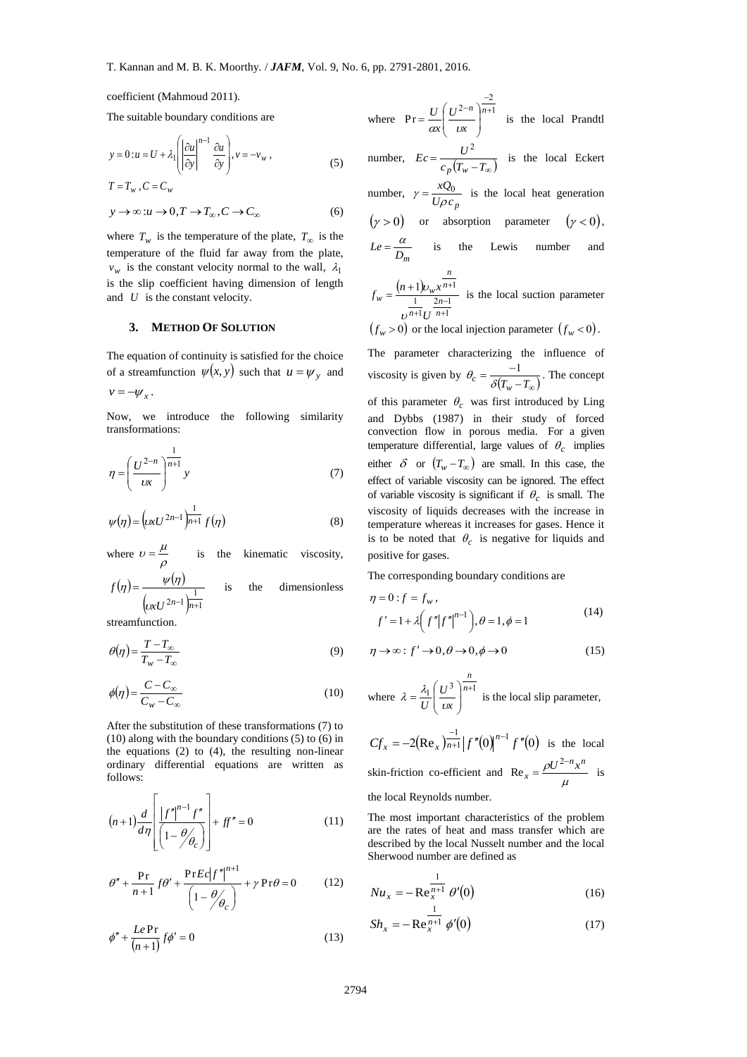coefficient (Mahmoud 2011).

The suitable boundary conditions are

$$
y = 0: u = U + \lambda_1 \left( \left| \frac{\partial u}{\partial y} \right|^{n-1} \frac{\partial u}{\partial y} \right), v = -v_w,
$$
 (5)

$$
T = T_w, C = C_w
$$
  
\n
$$
y \to \infty : u \to 0, T \to T_{\infty}, C \to C_{\infty}
$$
 (6)

where  $T_w$  is the temperature of the plate,  $T_\infty$  is the temperature of the fluid far away from the plate,  $v_w$  is the constant velocity normal to the wall,  $\lambda_1$ is the slip coefficient having dimension of length and *U* is the constant velocity.

#### **3. METHOD OF SOLUTION**

The equation of continuity is satisfied for the choice of a streamfunction  $\psi(x, y)$  such that  $u = \psi_y$  and

$$
v=-\psi_x.
$$

Now, we introduce the following similarity transformations:

$$
\eta = \left(\frac{U^{2-n}}{\nu x}\right)^{\frac{1}{n+1}} y \tag{7}
$$

$$
\psi(\eta) = \left(\nu x U^{2n-1}\right)^{\frac{1}{n+1}} f(\eta) \tag{8}
$$

where  $v = \frac{\mu}{\rho}$  $v = \frac{\mu}{\sigma}$ is the kinematic viscosity,

$$
f(\eta) = \frac{\psi(\eta)}{\left(\mu x U^{2n-1}\right)^{\frac{1}{n+1}}} \quad \text{is} \quad \text{the} \quad \text{dimensionless}
$$

streamfunction.

$$
\theta(\eta) = \frac{T - T_{\infty}}{T_w - T_{\infty}}\tag{9}
$$

$$
\phi(\eta) = \frac{C - C_{\infty}}{C_w - C_{\infty}}\tag{10}
$$

After the substitution of these transformations (7) to (10) along with the boundary conditions (5) to (6) in the equations (2) to (4), the resulting non-linear ordinary differential equations are written as follows:

$$
(n+1)\frac{d}{d\eta} \left[ \frac{|f''|^{n-1}f''}{\left(1-\theta'_{\theta_c}\right)} \right] + ff'' = 0 \tag{11}
$$

$$
\theta'' + \frac{\Pr}{n+1} f \theta' + \frac{\Pr E c |f''|^{n+1}}{\left(1 - \frac{\theta}{\theta_c}\right)} + \gamma \Pr \theta = 0 \tag{12}
$$

$$
\phi'' + \frac{Le \Pr}{(n+1)} f\phi' = 0 \tag{13}
$$

where  $Pr = \frac{U}{n} \left( \frac{U^{2-n}}{1 \cdot 1} \right)^{n+1}$ 2  $2-n$   $\bigg\}$ n+ --  $\bigg)$  $\mathcal{L}$  $\overline{\phantom{a}}$  $\overline{\phantom{0}}$  $=\frac{U}{\sqrt{\frac{U^{2-n}}{v^2}}}$ *x U x U*  $Pr = \frac{\epsilon}{\alpha x} \left( \frac{\epsilon}{\alpha x} \right)$  is the local Prandtl number,  $Ec = \frac{c}{c_p(T_w - T_{\infty})}$  $Ec = \frac{U}{\sqrt{T}}$ *p w* 2 is the local Eckert number,  $\gamma = \frac{Rg_0}{U\rho c_p}$ *xQ*  $\gamma = \frac{\lambda Q_0}{U \rho c_p}$  is the local heat generation  $(\gamma > 0)$  or absorption parameter  $(\gamma < 0)$ , *D<sup>m</sup>*  $Le = \frac{a}{b}$  is the Lewis number and  $(n+1)$  $2n-1$ 1  $1) v_w x^{n+1}$ ÷  $=\frac{(n+1)v_{w}x^{n+1}}{1-x^{n+1}}$ *n n n*  $w = \frac{(n+1)\nu_w}{1}$  $f_w = \frac{(n+1)v_w x}{1-x}$  $\frac{v_{w}x^{n+1}}{v_{w}x^{n+1}}$  is the local suction parameter

1 1  $^{+}$  $^{+}$ *n n U* υ  $(f_w > 0)$  or the local injection parameter  $(f_w < 0)$ .

The parameter characterizing the influence of viscosity is given by  $\theta_c = \frac{1}{\delta(T_w - T_\infty)}$  $\theta_c = \frac{-1}{\delta(T_w - T_\infty)}$ . The concept of this parameter  $\theta_c$  was first introduced by Ling and Dybbs (1987) in their study of forced convection flow in porous media. For a given temperature differential, large values of  $\theta_c$  implies either  $\delta$  or  $(T_w - T_\infty)$  are small. In this case, the effect of variable viscosity can be ignored. The effect of variable viscosity is significant if  $\theta_c$  is small. The viscosity of liquids decreases with the increase in temperature whereas it increases for gases. Hence it is to be noted that  $\theta_c$  is negative for liquids and positive for gases.

The corresponding boundary conditions are

$$
\eta = 0: f = f_w,
$$
  

$$
f' = 1 + \lambda \left( f'' |f''|^{n-1} \right), \theta = 1, \phi = 1
$$
 (14)

$$
\eta \to \infty : f' \to 0, \theta \to 0, \phi \to 0 \tag{15}
$$

where 
$$
\lambda = \frac{\lambda_1}{U} \left( \frac{U^3}{\mu} \right)^{\frac{n}{n+1}}
$$
 is the local slip parameter,

 $2(\text{Re}_x)_{n+1}^{-1} |f''(0)|^{n-1} f''(0)$  $Cf_x = -2(Re_x) \frac{-1}{n+1} \left| f''(0) \right|^{n-1} f''$  $\text{Re}_x \Big|_{n=1}^{-1} |f''(0)|^{n-1} f''(0)$  is the local skin-friction co-efficient and  $Re_x = \frac{\rho c}{\mu}$  $\rho U^{2-n} x^n$  $x = \frac{\rho U^{2-n} x}{u}$  $=\frac{\rho U^2}{2}$  $Re_x = \frac{\rho c}{\hbar}$  is the local Reynolds number.

The most important characteristics of the problem are the rates of heat and mass transfer which are described by the local Nusselt number and the local Sherwood number are defined as

$$
Nu_x = -\operatorname{Re}_x^{\frac{1}{n+1}} \theta'(0) \tag{16}
$$

$$
Sh_x = -\operatorname{Re}^{\frac{1}{n+1}}_x \phi'(0) \tag{17}
$$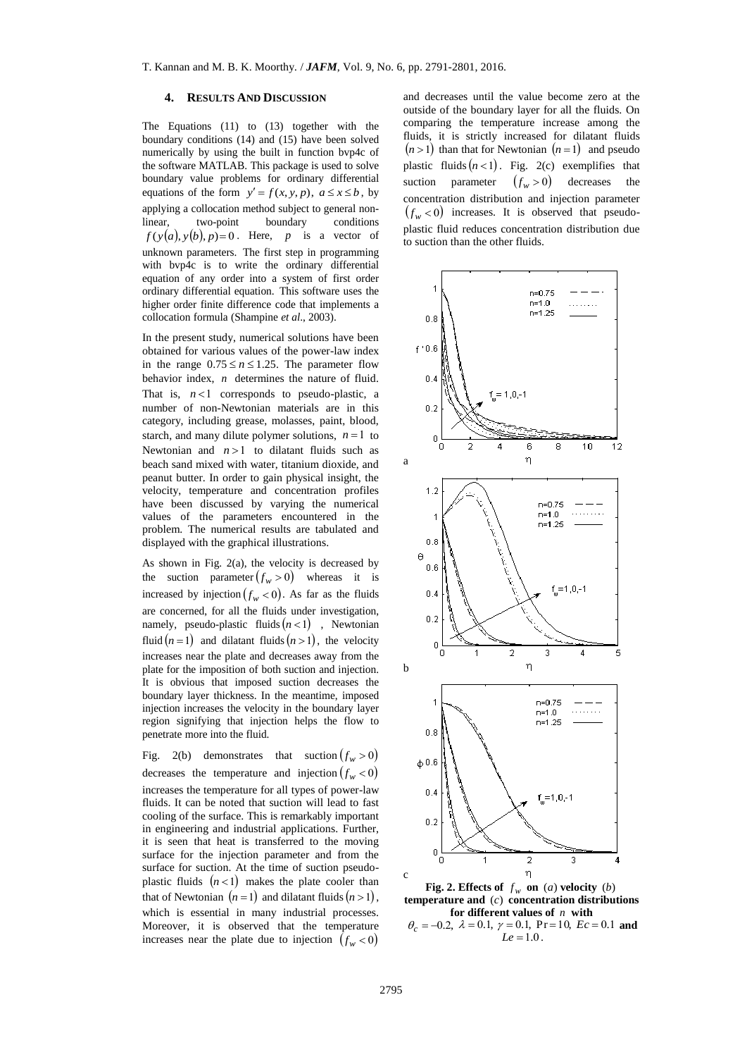#### **4. RESULTS AND DISCUSSION**

The Equations (11) to (13) together with the boundary conditions (14) and (15) have been solved numerically by using the built in function bvp4c of the software MATLAB. This package is used to solve boundary value problems for ordinary differential equations of the form  $y' = f(x, y, p)$ ,  $a \le x \le b$ , by applying a collocation method subject to general nonlinear, two-point boundary conditions *f* (*y*(*a*), *y*(*b*), *p*)=0. Here, *p* a vector of unknown parameters. The first step in programming with bvp4c is to write the ordinary differential equation of any order into a system of first order ordinary differential equation. This software uses the higher order finite difference code that implements a collocation formula (Shampine *et al*., 2003).

In the present study, numerical solutions have been obtained for various values of the power-law index in the range  $0.75 \le n \le 1.25$ . The parameter flow behavior index, *n* determines the nature of fluid. That is,  $n < 1$  corresponds to pseudo-plastic, a number of non-Newtonian materials are in this category, including grease, molasses, paint, blood, starch, and many dilute polymer solutions,  $n = 1$  to Newtonian and  $n > 1$  to dilatant fluids such as beach sand mixed with water, titanium dioxide, and peanut butter. In order to gain physical insight, the velocity, temperature and concentration profiles have been discussed by varying the numerical values of the parameters encountered in the problem. The numerical results are tabulated and displayed with the graphical illustrations.

As shown in Fig. 2(a), the velocity is decreased by the suction parameter  $(f_w > 0)$  whereas it is increased by injection  $(f_w < 0)$ . As far as the fluids are concerned, for all the fluids under investigation, namely, pseudo-plastic fluids  $(n<1)$ , Newtonian fluid  $(n=1)$  and dilatant fluids  $(n>1)$ , the velocity increases near the plate and decreases away from the plate for the imposition of both suction and injection. It is obvious that imposed suction decreases the boundary layer thickness. In the meantime, imposed injection increases the velocity in the boundary layer region signifying that injection helps the flow to penetrate more into the fluid.

Fig. 2(b) demonstrates that suction  $(f_w > 0)$ decreases the temperature and injection  $(f_w < 0)$ increases the temperature for all types of power-law fluids. It can be noted that suction will lead to fast cooling of the surface. This is remarkably important in engineering and industrial applications. Further, it is seen that heat is transferred to the moving surface for the injection parameter and from the surface for suction. At the time of suction pseudoplastic fluids  $(n<1)$  makes the plate cooler than that of Newtonian  $(n=1)$  and dilatant fluids  $(n>1)$ , which is essential in many industrial processes. Moreover, it is observed that the temperature increases near the plate due to injection  $(f_w < 0)$ 

and decreases until the value become zero at the outside of the boundary layer for all the fluids. On comparing the temperature increase among the fluids, it is strictly increased for dilatant fluids  $(n > 1)$  than that for Newtonian  $(n = 1)$  and pseudo plastic fluids  $(n < 1)$ . Fig. 2(c) exemplifies that suction parameter  $(f_w > 0)$  decreases the concentration distribution and injection parameter  $(f_w < 0)$  increases. It is observed that pseudoplastic fluid reduces concentration distribution due to suction than the other fluids.



**Fig. 2. Effects of**  $f_w$  **on** (*a*) **velocity** (*b*) **temperature and**  (*c*) **concentration distributions for different values of**  *n* **with**   $\theta_c = -0.2$ ,  $\lambda = 0.1$ ,  $\gamma = 0.1$ ,  $Pr = 10$ ,  $Ec = 0.1$  and  $Le = 1.0$ .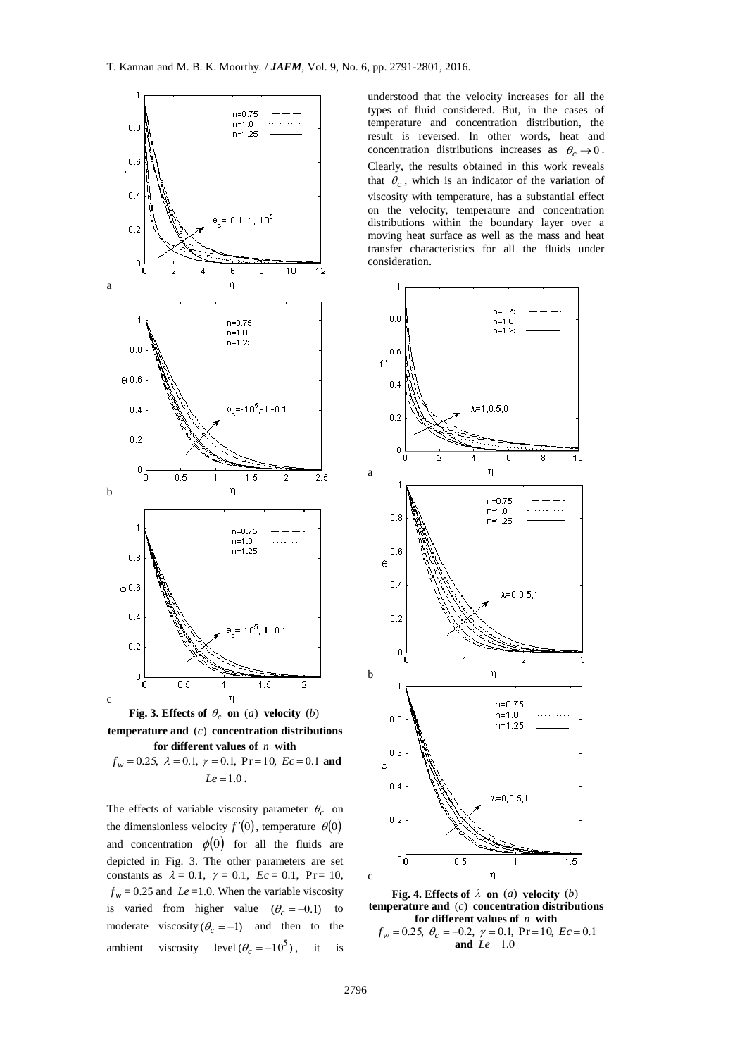

**Fig. 3. Effects of**  $\theta_c$  **on** (*a*) **velocity** (*b*) **temperature and**  (*c*) **concentration distributions for different values of**  *n* **with**   $f_w = 0.25$ ,  $\lambda = 0.1$ ,  $\gamma = 0.1$ ,  $Pr = 10$ ,  $Ec = 0.1$  and  $Le = 1.0$ .

The effects of variable viscosity parameter  $\theta_c$  on the dimensionless velocity  $f'(0)$ , temperature  $\theta(0)$ and concentration  $\phi(0)$  for all the fluids are depicted in Fig. 3. The other parameters are set constants as  $\lambda = 0.1$ ,  $\gamma = 0.1$ ,  $Ec = 0.1$ ,  $Pr = 10$ ,  $f_w$  = 0.25 and *Le* = 1.0. When the variable viscosity is varied from higher value  $(\theta_c = -0.1)$  to moderate viscosity  $(\theta_c = -1)$  and then to the ambient viscosity level  $(\theta_c = -10^5)$ , it is understood that the velocity increases for all the types of fluid considered. But, in the cases of temperature and concentration distribution, the result is reversed. In other words, heat and concentration distributions increases as  $\theta_c \rightarrow 0$ . Clearly, the results obtained in this work reveals that  $\theta_c$ , which is an indicator of the variation of viscosity with temperature, has a substantial effect on the velocity, temperature and concentration distributions within the boundary layer over a moving heat surface as well as the mass and heat transfer characteristics for all the fluids under consideration.



**Fig. 4. Effects of**  $\lambda$  **on** (*a*) **velocity** (*b*) **temperature and**  (*c*) **concentration distributions for different values of**  *n* **with**   $f_w = 0.25, \ \theta_c = -0.2, \ \gamma = 0.1, \ \Pr{=}10, \ Ec = 0.1$ and  $Le = 1.0$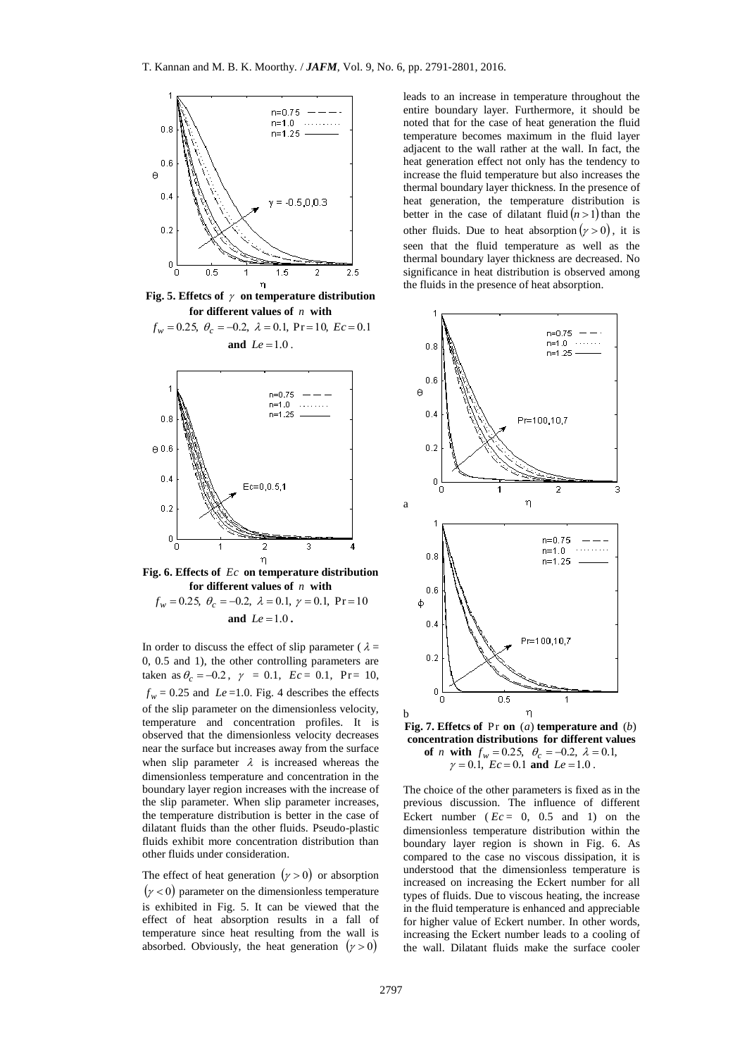

Fig. 5. Effetcs of  $\gamma$  on temperature distribution **for different values of**  *n* **with** 

 $f_w = 0.25, \ \theta_c = -0.2, \ \lambda = 0.1, \ \Pr{=}10, \ Ec = 0.1$ **and**  $Le = 1.0$ .



**Fig. 6. Effects of**  *Ec* **on temperature distribution for different values of**  *n* **with**   $f_w = 0.25, \ \theta_c = -0.2, \ \lambda = 0.1, \ \gamma = 0.1, \ \Pr{=}10$ and  $Le = 1.0$ .

In order to discuss the effect of slip parameter ( $\lambda =$ 0, 0.5 and 1), the other controlling parameters are taken as  $\theta_c = -0.2$ ,  $\gamma = 0.1$ ,  $Ec = 0.1$ ,  $Pr = 10$ ,  $f_w$  = 0.25 and *Le* = 1.0. Fig. 4 describes the effects of the slip parameter on the dimensionless velocity, temperature and concentration profiles. It is observed that the dimensionless velocity decreases near the surface but increases away from the surface when slip parameter  $\lambda$  is increased whereas the dimensionless temperature and concentration in the boundary layer region increases with the increase of the slip parameter. When slip parameter increases, the temperature distribution is better in the case of dilatant fluids than the other fluids. Pseudo-plastic fluids exhibit more concentration distribution than other fluids under consideration.

The effect of heat generation  $(y > 0)$  or absorption  $(y < 0)$  parameter on the dimensionless temperature is exhibited in Fig. 5. It can be viewed that the effect of heat absorption results in a fall of temperature since heat resulting from the wall is absorbed. Obviously, the heat generation  $(y>0)$ 

leads to an increase in temperature throughout the entire boundary layer. Furthermore, it should be noted that for the case of heat generation the fluid temperature becomes maximum in the fluid layer adjacent to the wall rather at the wall. In fact, the heat generation effect not only has the tendency to increase the fluid temperature but also increases the thermal boundary layer thickness. In the presence of heat generation, the temperature distribution is better in the case of dilatant fluid  $(n>1)$  than the other fluids. Due to heat absorption  $(y > 0)$ , it is seen that the fluid temperature as well as the thermal boundary layer thickness are decreased. No significance in heat distribution is observed among the fluids in the presence of heat absorption.



**Fig. 7. Effetcs of**  Pr **on** (*a*) **temperature and**  (*b*) **concentration distributions for different values of** *n* with  $f_w = 0.25$ ,  $\theta_c = -0.2$ ,  $\lambda = 0.1$ ,  $\gamma = 0.1$ ,  $Ec = 0.1$  and  $Le = 1.0$ .

The choice of the other parameters is fixed as in the previous discussion. The influence of different Eckert number ( $Ec = 0$ ,  $0.5$  and 1) on the dimensionless temperature distribution within the boundary layer region is shown in Fig. 6. As compared to the case no viscous dissipation, it is understood that the dimensionless temperature is increased on increasing the Eckert number for all types of fluids. Due to viscous heating, the increase in the fluid temperature is enhanced and appreciable for higher value of Eckert number. In other words, increasing the Eckert number leads to a cooling of the wall. Dilatant fluids make the surface cooler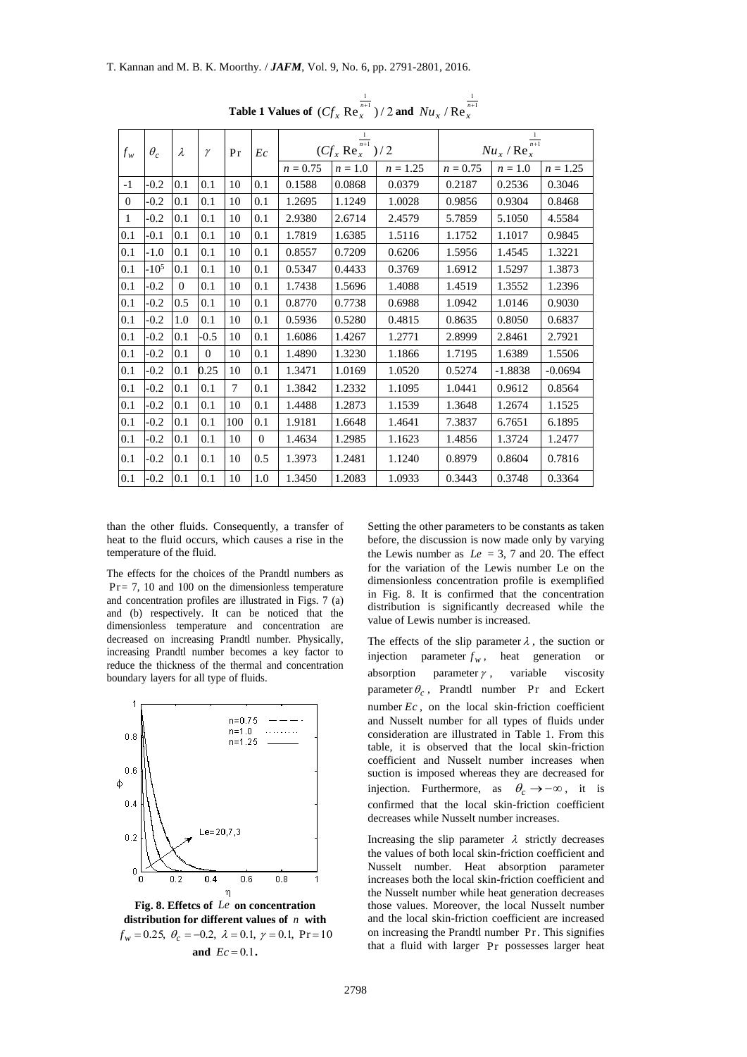| $\theta_c$<br>$f_w$<br>$\lambda$ |           |                |              |        |          | $(Cf_x \text{Re}_x^{\frac{1}{n+1}})/2$ |           | $\frac{Nu_x/Re_x^{\frac{1}{n+1}}}{1}$ |            |           |            |
|----------------------------------|-----------|----------------|--------------|--------|----------|----------------------------------------|-----------|---------------------------------------|------------|-----------|------------|
|                                  |           | $\gamma$       | Pr           | Ec     |          |                                        |           |                                       |            |           |            |
|                                  |           |                |              |        |          | $n = 0.75$                             | $n = 1.0$ | $n = 1.25$                            | $n = 0.75$ | $n = 1.0$ | $n = 1.25$ |
| $-1$                             | $-0.2$    | 0.1            | 0.1          | 10     | 0.1      | 0.1588                                 | 0.0868    | 0.0379                                | 0.2187     | 0.2536    | 0.3046     |
| $\mathbf{0}$                     | $-0.2$    | 0.1            | 0.1          | 10     | 0.1      | 1.2695                                 | 1.1249    | 1.0028                                | 0.9856     | 0.9304    | 0.8468     |
| $\mathbf{1}$                     | $-0.2$    | 0.1            | 0.1          | 10     | 0.1      | 2.9380                                 | 2.6714    | 2.4579                                | 5.7859     | 5.1050    | 4.5584     |
| 0.1                              | $-0.1$    | 0.1            | 0.1          | 10     | 0.1      | 1.7819                                 | 1.6385    | 1.5116                                | 1.1752     | 1.1017    | 0.9845     |
| 0.1                              | $-1.0$    | 0.1            | 0.1          | 10     | 0.1      | 0.8557                                 | 0.7209    | 0.6206                                | 1.5956     | 1.4545    | 1.3221     |
| 0.1                              | $-10^{5}$ | 0.1            | 0.1          | 10     | 0.1      | 0.5347                                 | 0.4433    | 0.3769                                | 1.6912     | 1.5297    | 1.3873     |
| 0.1                              | $-0.2$    | $\overline{0}$ | 0.1          | 10     | 0.1      | 1.7438                                 | 1.5696    | 1.4088                                | 1.4519     | 1.3552    | 1.2396     |
| 0.1                              | $-0.2$    | 0.5            | 0.1          | 10     | 0.1      | 0.8770                                 | 0.7738    | 0.6988                                | 1.0942     | 1.0146    | 0.9030     |
| 0.1                              | $-0.2$    | 1.0            | 0.1          | 10     | 0.1      | 0.5936                                 | 0.5280    | 0.4815                                | 0.8635     | 0.8050    | 0.6837     |
| 0.1                              | $-0.2$    | 0.1            | $-0.5$       | 10     | 0.1      | 1.6086                                 | 1.4267    | 1.2771                                | 2.8999     | 2.8461    | 2.7921     |
| 0.1                              | $-0.2$    | 0.1            | $\mathbf{0}$ | 10     | 0.1      | 1.4890                                 | 1.3230    | 1.1866                                | 1.7195     | 1.6389    | 1.5506     |
| 0.1                              | $-0.2$    | 0.1            | 0.25         | 10     | 0.1      | 1.3471                                 | 1.0169    | 1.0520                                | 0.5274     | $-1.8838$ | $-0.0694$  |
| 0.1                              | $-0.2$    | 0.1            | 0.1          | $\tau$ | 0.1      | 1.3842                                 | 1.2332    | 1.1095                                | 1.0441     | 0.9612    | 0.8564     |
| 0.1                              | $-0.2$    | 0.1            | 0.1          | 10     | 0.1      | 1.4488                                 | 1.2873    | 1.1539                                | 1.3648     | 1.2674    | 1.1525     |
| 0.1                              | $-0.2$    | 0.1            | 0.1          | 100    | 0.1      | 1.9181                                 | 1.6648    | 1.4641                                | 7.3837     | 6.7651    | 6.1895     |
| 0.1                              | $-0.2$    | 0.1            | 0.1          | 10     | $\theta$ | 1.4634                                 | 1.2985    | 1.1623                                | 1.4856     | 1.3724    | 1.2477     |
| 0.1                              | $-0.2$    | 0.1            | 0.1          | 10     | 0.5      | 1.3973                                 | 1.2481    | 1.1240                                | 0.8979     | 0.8604    | 0.7816     |
| 0.1                              | $-0.2$    | 0.1            | 0.1          | 10     | 1.0      | 1.3450                                 | 1.2083    | 1.0933                                | 0.3443     | 0.3748    | 0.3364     |

**Table 1 Values of**  $(Cf_x \mathop{\mathrm{Re}}_{x}^{\frac{1}{n+1}})/2$  $(Cf_x \text{ Re}_x^{\frac{1}{n+1}})/2$  and  $Nu_x / \text{Re}_x^{\frac{1}{n+1}}$ 

than the other fluids. Consequently, a transfer of heat to the fluid occurs, which causes a rise in the temperature of the fluid.

The effects for the choices of the Prandtl numbers as Pr = 7, 10 and 100 on the dimensionless temperature and concentration profiles are illustrated in Figs. 7 (a) and (b) respectively. It can be noticed that the dimensionless temperature and concentration are decreased on increasing Prandtl number. Physically, increasing Prandtl number becomes a key factor to reduce the thickness of the thermal and concentration boundary layers for all type of fluids.



**Fig. 8. Effetcs of**  *Le* **on concentration distribution for different values of**  *n* **with**   $f_w = 0.25, \ \theta_c = -0.2, \ \lambda = 0.1, \ \gamma = 0.1, \ \Pr{=}10$ and  $Ec = 0.1$ .

Setting the other parameters to be constants as taken before, the discussion is now made only by varying the Lewis number as  $Le = 3, 7$  and 20. The effect for the variation of the Lewis number Le on the dimensionless concentration profile is exemplified in Fig. 8. It is confirmed that the concentration distribution is significantly decreased while the value of Lewis number is increased.

The effects of the slip parameter  $\lambda$ , the suction or injection parameter  $f_w$ , heat generation or absorption parameter  $\gamma$ , variable viscosity parameter  $\theta_c$ , Prandtl number Pr and Eckert number  $Ec$ , on the local skin-friction coefficient and Nusselt number for all types of fluids under consideration are illustrated in Table 1. From this table, it is observed that the local skin-friction coefficient and Nusselt number increases when suction is imposed whereas they are decreased for injection. Furthermore, as  $\theta_c \rightarrow -\infty$ , it is confirmed that the local skin-friction coefficient decreases while Nusselt number increases.

Increasing the slip parameter  $\lambda$  strictly decreases the values of both local skin-friction coefficient and Nusselt number. Heat absorption parameter increases both the local skin-friction coefficient and the Nusselt number while heat generation decreases those values. Moreover, the local Nusselt number and the local skin-friction coefficient are increased on increasing the Prandtl number Pr . This signifies that a fluid with larger Pr possesses larger heat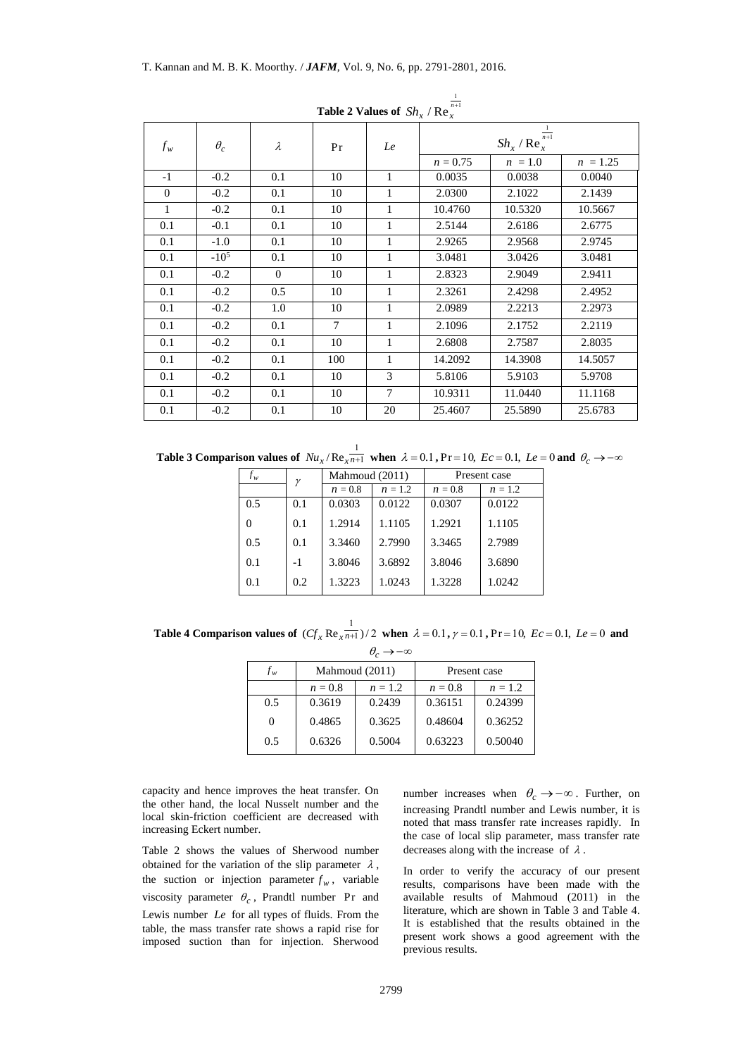| $\frac{1}{\sqrt{2}}$ . There is $\frac{1}{\sqrt{2}}$ is $\frac{1}{\sqrt{2}}$ . The $\frac{1}{\sqrt{2}}$ |            |           |                |                |                                                    |           |            |
|---------------------------------------------------------------------------------------------------------|------------|-----------|----------------|----------------|----------------------------------------------------|-----------|------------|
| $f_w$                                                                                                   | $\theta_c$ | $\lambda$ | Pr             | Le             | $\frac{1}{n+1}$<br>$Sh_x$ / Re $_x^{\prime\prime}$ |           |            |
|                                                                                                         |            |           |                |                | $n = 0.75$                                         | $n = 1.0$ | $n = 1.25$ |
| $-1$                                                                                                    | $-0.2$     | 0.1       | 10             | 1              | 0.0035                                             | 0.0038    | 0.0040     |
| $\mathbf{0}$                                                                                            | $-0.2$     | 0.1       | 10             | $\mathbf{1}$   | 2.0300                                             | 2.1022    | 2.1439     |
| $\mathbf{1}$                                                                                            | $-0.2$     | 0.1       | 10             | 1              | 10.4760                                            | 10.5320   | 10.5667    |
| 0.1                                                                                                     | $-0.1$     | 0.1       | 10             | $\mathbf{1}$   | 2.5144                                             | 2.6186    | 2.6775     |
| 0.1                                                                                                     | $-1.0$     | 0.1       | 10             | 1              | 2.9265                                             | 2.9568    | 2.9745     |
| 0.1                                                                                                     | $-10^{5}$  | 0.1       | 10             | 1              | 3.0481                                             | 3.0426    | 3.0481     |
| 0.1                                                                                                     | $-0.2$     | $\Omega$  | 10             | 1              | 2.8323                                             | 2.9049    | 2.9411     |
| 0.1                                                                                                     | $-0.2$     | 0.5       | 10             | 1              | 2.3261                                             | 2.4298    | 2.4952     |
| 0.1                                                                                                     | $-0.2$     | 1.0       | 10             | $\mathbf{1}$   | 2.0989                                             | 2.2213    | 2.2973     |
| 0.1                                                                                                     | $-0.2$     | 0.1       | $\overline{7}$ | 1              | 2.1096                                             | 2.1752    | 2.2119     |
| 0.1                                                                                                     | $-0.2$     | 0.1       | 10             | 1              | 2.6808                                             | 2.7587    | 2.8035     |
| 0.1                                                                                                     | $-0.2$     | 0.1       | 100            | 1              | 14.2092                                            | 14.3908   | 14.5057    |
| 0.1                                                                                                     | $-0.2$     | 0.1       | 10             | 3              | 5.8106                                             | 5.9103    | 5.9708     |
| 0.1                                                                                                     | $-0.2$     | 0.1       | 10             | $\overline{7}$ | 10.9311                                            | 11.0440   | 11.1168    |
| 0.1                                                                                                     | $-0.2$     | 0.1       | 10             | 20             | 25.4607                                            | 25.5890   | 25.6783    |

**Table 2 Values of**  $\mathit{Sh}_x \, / \, \text{Re}_x^{\frac{1}{n+1}}$ 

**Table 3 Comparison values of**  $Nu_x$  /  $Re_{x\overline{n+1}}$  $Nu_x / \text{Re}\frac{1}{x^{n+1}}$  when  $\lambda = 0.1$ ,  $\text{Pr} = 10$ ,  $Ec = 0.1$ ,  $Le = 0$  and  $\theta_c \rightarrow -\infty$ 

| $f_w$ | γ    | Mahmoud (2011) |           | Present case |           |  |
|-------|------|----------------|-----------|--------------|-----------|--|
|       |      | $n=0.8$        | $n = 1.2$ | $n=0.8$      | $n = 1.2$ |  |
| 0.5   | 0.1  | 0.0303         | 0.0122    | 0.0307       | 0.0122    |  |
| 0     | 0.1  | 1.2914         | 1.1105    | 1.2921       | 1.1105    |  |
| 0.5   | 0.1  | 3.3460         | 2.7990    | 3.3465       | 2.7989    |  |
| 0.1   | $-1$ | 3.8046         | 3.6892    | 3.8046       | 3.6890    |  |
| 0.1   | 0.2  | 1.3223         | 1.0243    | 1.3228       | 1.0242    |  |

**Table 4 Comparison values of**  $(Cf_x \text{Re}_{x} \frac{1}{n+1})/2$  when  $\lambda = 0.1$ ,  $\gamma = 0.1$ ,  $\text{Pr} = 10$ ,  $Ec = 0.1$ ,  $Le = 0$  and  $\theta_c \rightarrow -\infty$ 

| $f_w$ |         | Mahmoud (2011) | Present case |           |  |  |  |  |
|-------|---------|----------------|--------------|-----------|--|--|--|--|
|       | $n=0.8$ | $n = 1.2$      | $n=0.8$      | $n = 1.2$ |  |  |  |  |
| 0.5   | 0.3619  | 0.2439         | 0.36151      | 0.24399   |  |  |  |  |
| 0     | 0.4865  | 0.3625         | 0.48604      | 0.36252   |  |  |  |  |
| 0.5   | 0.6326  | 0.5004         | 0.63223      | 0.50040   |  |  |  |  |

capacity and hence improves the heat transfer. On the other hand, the local Nusselt number and the local skin-friction coefficient are decreased with increasing Eckert number.

Table 2 shows the values of Sherwood number obtained for the variation of the slip parameter  $\lambda$ , the suction or injection parameter  $f_w$ , variable viscosity parameter  $\theta_c$ , Prandtl number Pr and Lewis number *Le* for all types of fluids. From the table, the mass transfer rate shows a rapid rise for imposed suction than for injection. Sherwood

number increases when  $\theta_c \rightarrow -\infty$ . Further, on increasing Prandtl number and Lewis number, it is noted that mass transfer rate increases rapidly. In the case of local slip parameter, mass transfer rate decreases along with the increase of  $\lambda$ .

In order to verify the accuracy of our present results, comparisons have been made with the available results of Mahmoud (2011) in the literature, which are shown in Table 3 and Table 4. It is established that the results obtained in the present work shows a good agreement with the previous results.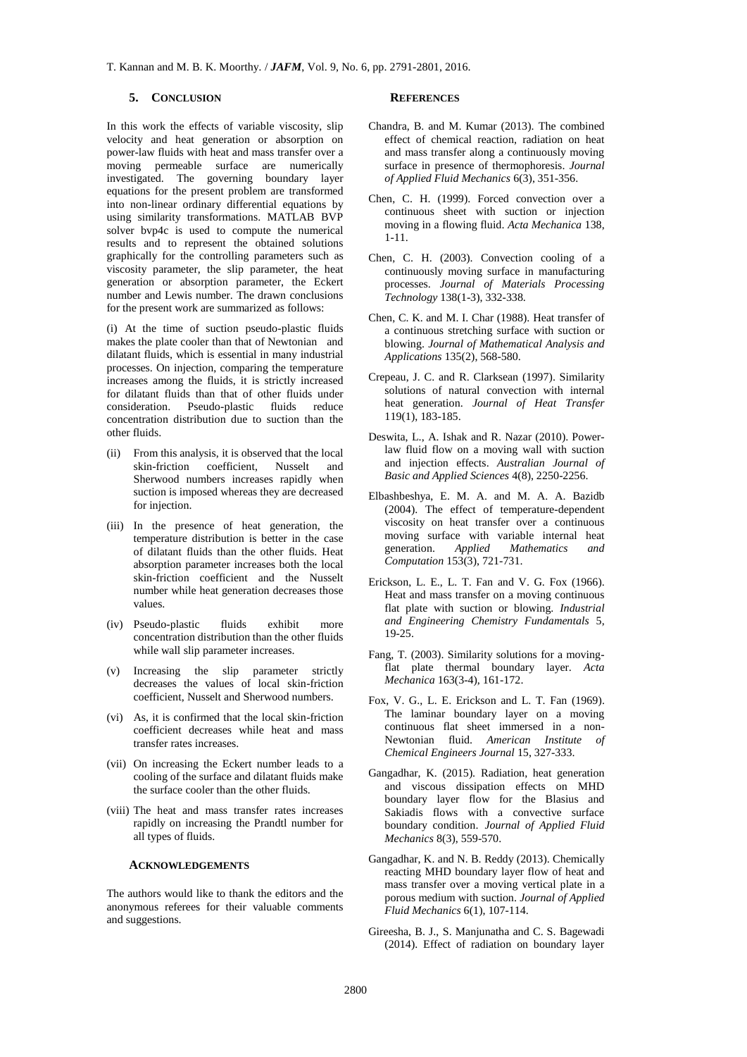### **5. CONCLUSION**

In this work the effects of variable viscosity, slip velocity and heat generation or absorption on power-law fluids with heat and mass transfer over a moving permeable surface are numerically investigated. The governing boundary layer equations for the present problem are transformed into non-linear ordinary differential equations by using similarity transformations. MATLAB BVP solver bvp4c is used to compute the numerical results and to represent the obtained solutions graphically for the controlling parameters such as viscosity parameter, the slip parameter, the heat generation or absorption parameter, the Eckert number and Lewis number. The drawn conclusions for the present work are summarized as follows:

(i) At the time of suction pseudo-plastic fluids makes the plate cooler than that of Newtonian and dilatant fluids, which is essential in many industrial processes. On injection, comparing the temperature increases among the fluids, it is strictly increased for dilatant fluids than that of other fluids under consideration. Pseudo-plastic fluids reduce concentration distribution due to suction than the other fluids.

- (ii) From this analysis, it is observed that the local skin-friction coefficient, Nusselt and Sherwood numbers increases rapidly when suction is imposed whereas they are decreased for injection.
- (iii) In the presence of heat generation, the temperature distribution is better in the case of dilatant fluids than the other fluids. Heat absorption parameter increases both the local skin-friction coefficient and the Nusselt number while heat generation decreases those values.
- (iv) Pseudo-plastic fluids exhibit more concentration distribution than the other fluids while wall slip parameter increases.
- (v) Increasing the slip parameter strictly decreases the values of local skin-friction coefficient, Nusselt and Sherwood numbers.
- (vi) As, it is confirmed that the local skin-friction coefficient decreases while heat and mass transfer rates increases.
- (vii) On increasing the Eckert number leads to a cooling of the surface and dilatant fluids make the surface cooler than the other fluids.
- (viii) The heat and mass transfer rates increases rapidly on increasing the Prandtl number for all types of fluids.

#### **ACKNOWLEDGEMENTS**

The authors would like to thank the editors and the anonymous referees for their valuable comments and suggestions.

#### **REFERENCES**

- Chandra, B. and M. Kumar (2013). The combined effect of chemical reaction, radiation on heat and mass transfer along a continuously moving surface in presence of thermophoresis. *Journal of Applied Fluid Mechanics* 6(3), 351-356.
- Chen, C. H. (1999). Forced convection over a continuous sheet with suction or injection moving in a flowing fluid. *Acta Mechanica* 138, 1-11.
- Chen, C. H. (2003). Convection cooling of a continuously moving surface in manufacturing processes. *Journal of Materials Processing Technology* 138(1-3), 332-338.
- Chen, C. K. and M. I. Char (1988). Heat transfer of a continuous stretching surface with suction or blowing. *Journal of Mathematical Analysis and Applications* 135(2), 568-580.
- Crepeau, J. C. and R. Clarksean (1997). Similarity solutions of natural convection with internal heat generation. *Journal of Heat Transfer* 119(1), 183-185.
- Deswita, L., A. Ishak and R. Nazar (2010). Powerlaw fluid flow on a moving wall with suction and injection effects. *Australian Journal of Basic and Applied Sciences* 4(8), 2250-2256.
- Elbashbeshya, E. M. A. and M. A. A. Bazidb (2004). The effect of temperature-dependent viscosity on heat transfer over a continuous moving surface with variable internal heat generation. *Applied Mathematics and Computation* 153(3), 721-731.
- Erickson, L. E., L. T. Fan and V. G. Fox (1966). Heat and mass transfer on a moving continuous flat plate with suction or blowing. *Industrial and Engineering Chemistry Fundamentals* 5, 19-25.
- Fang, T. (2003). Similarity solutions for a movingflat plate thermal boundary layer. *Acta Mechanica* 163(3-4), 161-172.
- Fox, V. G., L. E. Erickson and L. T. Fan (1969). The laminar boundary layer on a moving continuous flat sheet immersed in a non-Newtonian fluid. *American Institute of Chemical Engineers Journal* 15, 327-333.
- Gangadhar, K. (2015). Radiation, heat generation and viscous dissipation effects on MHD boundary layer flow for the Blasius and Sakiadis flows with a convective surface boundary condition. *Journal of Applied Fluid Mechanics* 8(3), 559-570.
- Gangadhar, K. and N. B. Reddy (2013). Chemically reacting MHD boundary layer flow of heat and mass transfer over a moving vertical plate in a porous medium with suction. *Journal of Applied Fluid Mechanics* 6(1), 107-114.
- Gireesha, B. J., S. Manjunatha and C. S. Bagewadi (2014). Effect of radiation on boundary layer